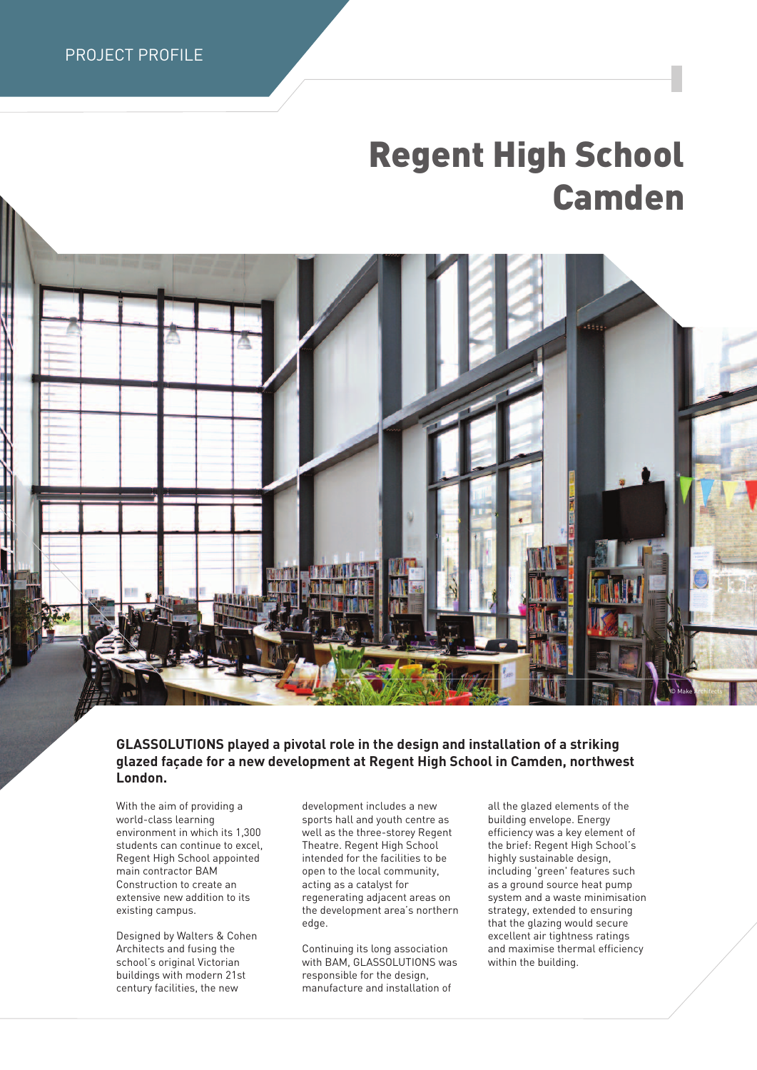# **Regent High School Camden**



## **GLASSOLUTIONS played a pivotal role in the design and installation of a striking glazed façade for a new development at Regent High School in Camden, northwest London.**

With the aim of providing a world-class learning environment in which its 1,300 students can continue to excel, Regent High School appointed main contractor BAM Construction to create an extensive new addition to its existing campus.

Designed by Walters & Cohen Architects and fusing the school's original Victorian buildings with modern 21st century facilities, the new

development includes a new sports hall and youth centre as well as the three-storey Regent Theatre. Regent High School intended for the facilities to be open to the local community, acting as a catalyst for regenerating adjacent areas on the development area's northern edge.

Continuing its long association with BAM, GLASSOLUTIONS was responsible for the design, manufacture and installation of

all the glazed elements of the building envelope. Energy efficiency was a key element of the brief: Regent High School's highly sustainable design, including 'green' features such as a ground source heat pump system and a waste minimisation strategy, extended to ensuring that the glazing would secure excellent air tightness ratings and maximise thermal efficiency within the building.